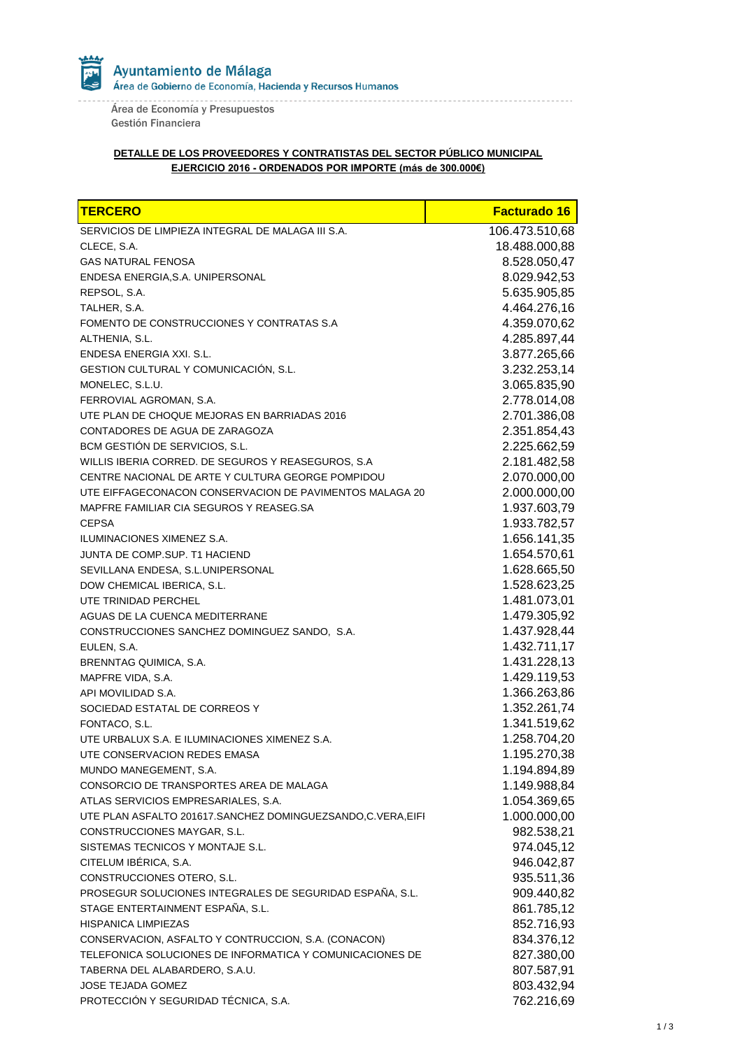

Área de Economía y Presupuestos Gestión Financiera

## **DETALLE DE LOS PROVEEDORES Y CONTRATISTAS DEL SECTOR PÚBLICO MUNICIPAL EJERCICIO 2016 - ORDENADOS POR IMPORTE (más de 300.000€)**

. . . . . . . . . . . . . . . . . .

| <b>TERCERO</b>                                             | <b>Facturado 16</b> |
|------------------------------------------------------------|---------------------|
| SERVICIOS DE LIMPIEZA INTEGRAL DE MALAGA III S.A.          | 106.473.510,68      |
| CLECE, S.A.                                                | 18.488.000,88       |
| <b>GAS NATURAL FENOSA</b>                                  | 8.528.050,47        |
| ENDESA ENERGIA, S.A. UNIPERSONAL                           | 8.029.942,53        |
| REPSOL, S.A.                                               | 5.635.905,85        |
| TALHER, S.A.                                               | 4.464.276,16        |
| FOMENTO DE CONSTRUCCIONES Y CONTRATAS S.A                  | 4.359.070,62        |
| ALTHENIA, S.L.                                             | 4.285.897,44        |
| ENDESA ENERGIA XXI. S.L.                                   | 3.877.265,66        |
| GESTION CULTURAL Y COMUNICACIÓN, S.L.                      | 3.232.253,14        |
| MONELEC, S.L.U.                                            | 3.065.835,90        |
| FERROVIAL AGROMAN, S.A.                                    | 2.778.014,08        |
| UTE PLAN DE CHOQUE MEJORAS EN BARRIADAS 2016               | 2.701.386,08        |
| CONTADORES DE AGUA DE ZARAGOZA                             | 2.351.854,43        |
| BCM GESTIÓN DE SERVICIOS, S.L.                             | 2.225.662,59        |
| WILLIS IBERIA CORRED. DE SEGUROS Y REASEGUROS, S.A         | 2.181.482,58        |
| CENTRE NACIONAL DE ARTE Y CULTURA GEORGE POMPIDOU          | 2.070.000,00        |
| UTE EIFFAGECONACON CONSERVACION DE PAVIMENTOS MALAGA 20    | 2.000.000,00        |
| MAPFRE FAMILIAR CIA SEGUROS Y REASEG.SA                    | 1.937.603,79        |
| <b>CEPSA</b>                                               | 1.933.782,57        |
| ILUMINACIONES XIMENEZ S.A.                                 | 1.656.141,35        |
| JUNTA DE COMP.SUP. T1 HACIEND                              | 1.654.570,61        |
| SEVILLANA ENDESA, S.L.UNIPERSONAL                          | 1.628.665,50        |
| DOW CHEMICAL IBERICA, S.L.                                 | 1.528.623,25        |
| UTE TRINIDAD PERCHEL                                       | 1.481.073,01        |
| AGUAS DE LA CUENCA MEDITERRANE                             | 1.479.305,92        |
| CONSTRUCCIONES SANCHEZ DOMINGUEZ SANDO, S.A.               | 1.437.928,44        |
| EULEN, S.A.                                                | 1.432.711,17        |
| BRENNTAG QUIMICA, S.A.                                     | 1.431.228,13        |
| MAPFRE VIDA, S.A.                                          | 1.429.119,53        |
| API MOVILIDAD S.A.                                         | 1.366.263,86        |
| SOCIEDAD ESTATAL DE CORREOS Y                              | 1.352.261,74        |
| FONTACO, S.L.                                              | 1.341.519,62        |
| UTE URBALUX S.A. E ILUMINACIONES XIMENEZ S.A.              | 1.258.704,20        |
| UTE CONSERVACION REDES EMASA                               | 1.195.270,38        |
| MUNDO MANEGEMENT, S.A.                                     | 1.194.894,89        |
| CONSORCIO DE TRANSPORTES AREA DE MALAGA                    | 1.149.988,84        |
| ATLAS SERVICIOS EMPRESARIALES, S.A.                        | 1.054.369,65        |
| UTE PLAN ASFALTO 201617.SANCHEZ DOMINGUEZSANDO,C.VERA,EIFI | 1.000.000,00        |
| CONSTRUCCIONES MAYGAR, S.L.                                | 982.538,21          |
| SISTEMAS TECNICOS Y MONTAJE S.L.                           | 974.045,12          |
| CITELUM IBÉRICA, S.A.                                      | 946.042,87          |
| CONSTRUCCIONES OTERO, S.L.                                 | 935.511,36          |
| PROSEGUR SOLUCIONES INTEGRALES DE SEGURIDAD ESPAÑA, S.L.   | 909.440,82          |
| STAGE ENTERTAINMENT ESPAÑA, S.L.                           | 861.785,12          |
| <b>HISPANICA LIMPIEZAS</b>                                 | 852.716,93          |
| CONSERVACION, ASFALTO Y CONTRUCCION, S.A. (CONACON)        | 834.376,12          |
| TELEFONICA SOLUCIONES DE INFORMATICA Y COMUNICACIONES DE   | 827.380,00          |
| TABERNA DEL ALABARDERO, S.A.U.                             | 807.587,91          |
| <b>JOSE TEJADA GOMEZ</b>                                   | 803.432,94          |
| PROTECCIÓN Y SEGURIDAD TÉCNICA, S.A.                       | 762.216,69          |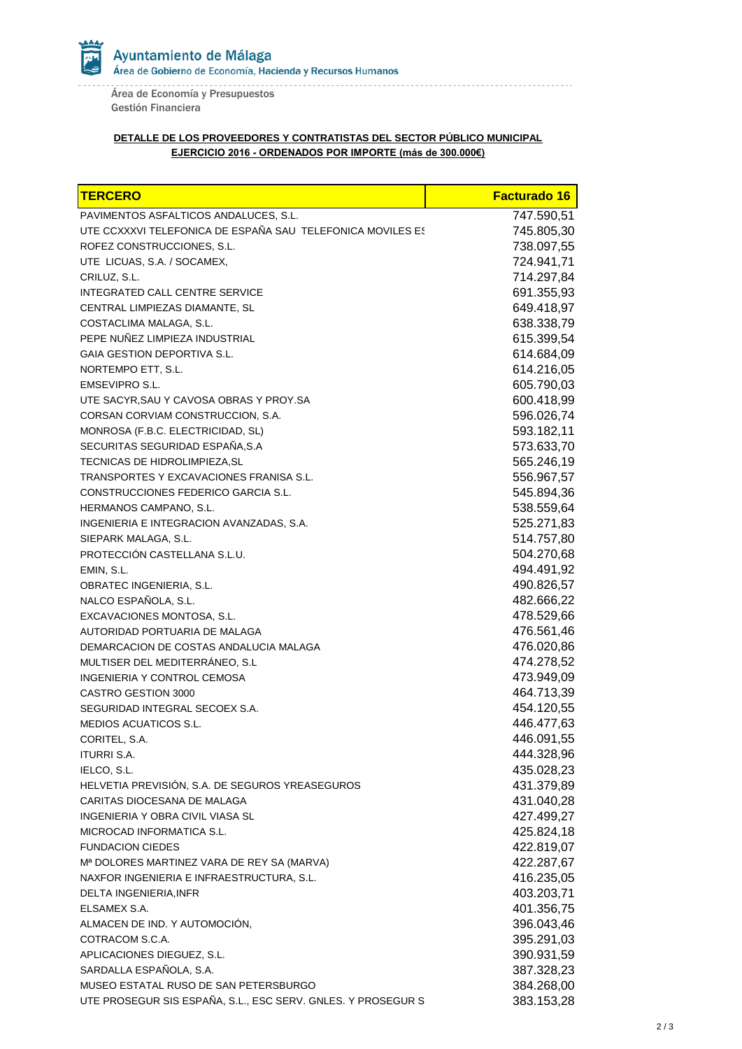Ayuntamiento de Málaga Área de Gobierno de Economía, Hacienda y Recursos Humanos

Área de Economía y Presupuestos Gestión Financiera

## **DETALLE DE LOS PROVEEDORES Y CONTRATISTAS DEL SECTOR PÚBLICO MUNICIPAL EJERCICIO 2016 - ORDENADOS POR IMPORTE (más de 300.000€)**

| <b>TERCERO</b>                                               | <b>Facturado 16</b> |
|--------------------------------------------------------------|---------------------|
| PAVIMENTOS ASFALTICOS ANDALUCES, S.L.                        | 747.590,51          |
| UTE CCXXXVI TELEFONICA DE ESPAÑA SAU TELEFONICA MOVILES ES   | 745.805,30          |
| ROFEZ CONSTRUCCIONES, S.L.                                   | 738.097,55          |
| UTE LICUAS, S.A. / SOCAMEX,                                  | 724.941,71          |
| CRILUZ, S.L.                                                 | 714.297,84          |
| INTEGRATED CALL CENTRE SERVICE                               | 691.355,93          |
| CENTRAL LIMPIEZAS DIAMANTE, SL                               | 649.418,97          |
| COSTACLIMA MALAGA, S.L.                                      | 638.338,79          |
| PEPE NUÑEZ LIMPIEZA INDUSTRIAL                               | 615.399,54          |
| <b>GAIA GESTION DEPORTIVA S.L.</b>                           | 614.684,09          |
| NORTEMPO ETT, S.L.                                           | 614.216,05          |
| EMSEVIPRO S.L.                                               | 605.790,03          |
| UTE SACYR, SAU Y CAVOSA OBRAS Y PROY. SA                     | 600.418,99          |
| CORSAN CORVIAM CONSTRUCCION, S.A.                            | 596.026,74          |
| MONROSA (F.B.C. ELECTRICIDAD, SL)                            | 593.182,11          |
| SECURITAS SEGURIDAD ESPAÑA, S.A                              | 573.633,70          |
| TECNICAS DE HIDROLIMPIEZA, SL                                | 565.246,19          |
| TRANSPORTES Y EXCAVACIONES FRANISA S.L.                      | 556.967,57          |
| CONSTRUCCIONES FEDERICO GARCIA S.L.                          | 545.894,36          |
| HERMANOS CAMPANO, S.L.                                       | 538.559,64          |
| INGENIERIA E INTEGRACION AVANZADAS, S.A.                     | 525.271,83          |
| SIEPARK MALAGA, S.L.                                         | 514.757,80          |
| PROTECCIÓN CASTELLANA S.L.U.                                 | 504.270,68          |
| EMIN, S.L.                                                   | 494.491,92          |
| OBRATEC INGENIERIA, S.L.                                     | 490.826,57          |
| NALCO ESPAÑOLA, S.L.                                         | 482.666,22          |
| EXCAVACIONES MONTOSA, S.L.                                   | 478.529,66          |
| AUTORIDAD PORTUARIA DE MALAGA                                | 476.561,46          |
| DEMARCACION DE COSTAS ANDALUCIA MALAGA                       | 476.020,86          |
| MULTISER DEL MEDITERRÁNEO, S.L                               | 474.278,52          |
| INGENIERIA Y CONTROL CEMOSA                                  | 473.949,09          |
| CASTRO GESTION 3000                                          | 464.713,39          |
| SEGURIDAD INTEGRAL SECOEX S.A.                               | 454.120,55          |
| <b>MEDIOS ACUATICOS S.L.</b>                                 | 446.477,63          |
| CORITEL, S.A.                                                | 446.091,55          |
| <b>ITURRI S.A.</b>                                           | 444.328,96          |
| IELCO, S.L.                                                  | 435.028,23          |
| HELVETIA PREVISIÓN, S.A. DE SEGUROS YREASEGUROS              | 431.379,89          |
| CARITAS DIOCESANA DE MALAGA                                  | 431.040,28          |
| INGENIERIA Y OBRA CIVIL VIASA SL                             | 427.499,27          |
| MICROCAD INFORMATICA S.L.                                    | 425.824,18          |
| <b>FUNDACION CIEDES</b>                                      | 422.819,07          |
| Mª DOLORES MARTINEZ VARA DE REY SA (MARVA)                   | 422.287,67          |
| NAXFOR INGENIERIA E INFRAESTRUCTURA, S.L.                    | 416.235,05          |
| DELTA INGENIERIA, INFR                                       | 403.203,71          |
| ELSAMEX S.A.                                                 | 401.356,75          |
| ALMACEN DE IND. Y AUTOMOCIÓN,                                | 396.043,46          |
| COTRACOM S.C.A.                                              | 395.291,03          |
| APLICACIONES DIEGUEZ, S.L.                                   | 390.931,59          |
| SARDALLA ESPAÑOLA, S.A.                                      | 387.328,23          |
| MUSEO ESTATAL RUSO DE SAN PETERSBURGO                        | 384.268,00          |
| UTE PROSEGUR SIS ESPAÑA, S.L., ESC SERV. GNLES. Y PROSEGUR S | 383.153,28          |